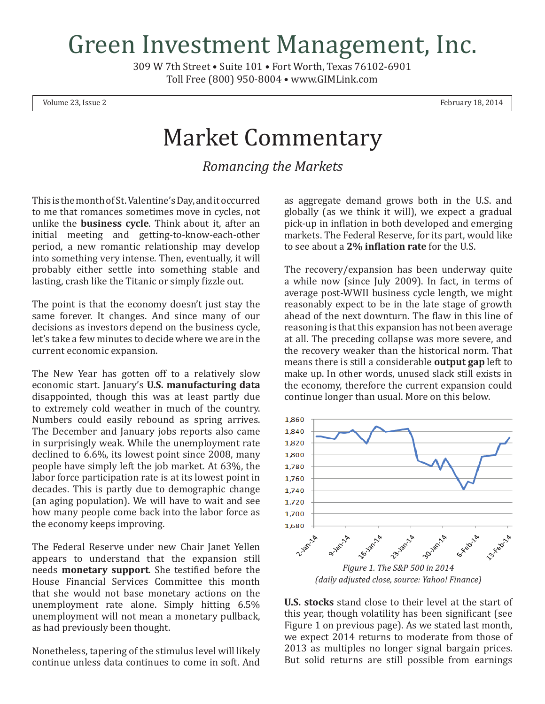## Green Investment Management, Inc.

309 W 7th Street • Suite 101 • Fort Worth, Texas 76102-6901 Toll Free (800) 950-8004 • www.GIMLink.com

Volume 23, Issue 2 February 18, 2014

## Market Commentary

*Romancing the Markets*

This is the month of St. Valentine's Day, and it occurred to me that romances sometimes move in cycles, not unlike the **business cycle**. Think about it, after an initial meeting and getting-to-know-each-other period, a new romantic relationship may develop into something very intense. Then, eventually, it will probably either settle into something stable and lasting, crash like the Titanic or simply fizzle out.

The point is that the economy doesn't just stay the same forever. It changes. And since many of our decisions as investors depend on the business cycle, let's take a few minutes to decide where we are in the current economic expansion.

The New Year has gotten off to a relatively slow economic start. January's **U.S. manufacturing data** disappointed, though this was at least partly due to extremely cold weather in much of the country. Numbers could easily rebound as spring arrives. The December and January jobs reports also came in surprisingly weak. While the unemployment rate declined to 6.6%, its lowest point since 2008, many people have simply left the job market. At 63%, the labor force participation rate is at its lowest point in decades. This is partly due to demographic change (an aging population). We will have to wait and see how many people come back into the labor force as the economy keeps improving.

The Federal Reserve under new Chair Janet Yellen appears to understand that the expansion still needs **monetary support**. She testified before the House Financial Services Committee this month that she would not base monetary actions on the unemployment rate alone. Simply hitting 6.5% unemployment will not mean a monetary pullback, as had previously been thought.

Nonetheless, tapering of the stimulus level will likely continue unless data continues to come in soft. And

as aggregate demand grows both in the U.S. and globally (as we think it will), we expect a gradual pick-up in inflation in both developed and emerging markets. The Federal Reserve, for its part, would like to see about a **2% inflation rate** for the U.S.

The recovery/expansion has been underway quite a while now (since July 2009). In fact, in terms of average post-WWII business cycle length, we might reasonably expect to be in the late stage of growth ahead of the next downturn. The flaw in this line of reasoning is that this expansion has not been average at all. The preceding collapse was more severe, and the recovery weaker than the historical norm. That means there is still a considerable **output gap** left to make up. In other words, unused slack still exists in the economy, therefore the current expansion could continue longer than usual. More on this below.



**U.S. stocks** stand close to their level at the start of this year, though volatility has been significant (see Figure 1 on previous page). As we stated last month, we expect 2014 returns to moderate from those of 2013 as multiples no longer signal bargain prices. But solid returns are still possible from earnings